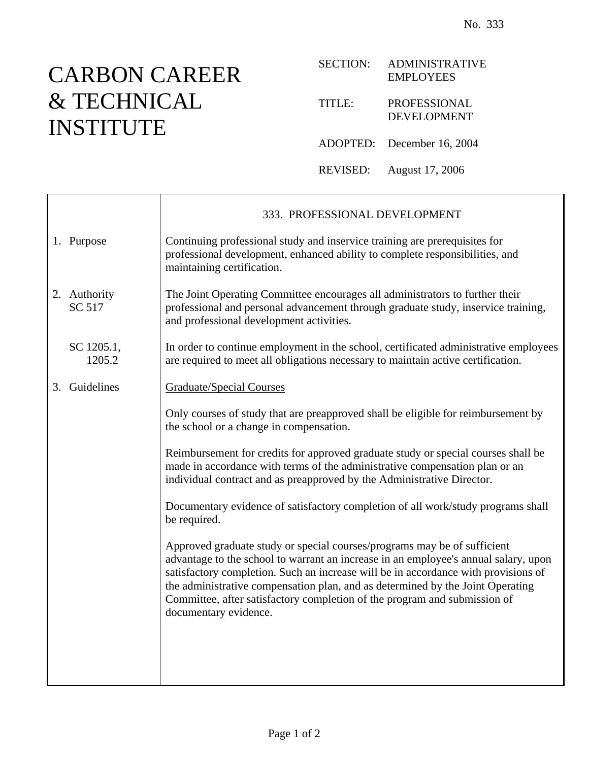## CARBON CAREER & TECHNICAL INSTITUTE

| <b>SECTION:</b> | <b>ADMINISTRATIVE</b><br><b>EMPLOYEES</b> |
|-----------------|-------------------------------------------|
| TITI E:         | PROFESSIONAL<br>DEVELOPMENT               |
|                 | ADOPTED: December 16, 2004                |

REVISED: August 17, 2006

333. PROFESSIONAL DEVELOPMENT 1. Purpose Continuing professional study and inservice training are prerequisites for professional development, enhanced ability to complete responsibilities, and maintaining certification. 2. Authority SC 517 The Joint Operating Committee encourages all administrators to further their professional and personal advancement through graduate study, inservice training, and professional development activities. SC 1205.1, 1205.2 In order to continue employment in the school, certificated administrative employees are required to meet all obligations necessary to maintain active certification. 3. Guidelines | Graduate/Special Courses Only courses of study that are preapproved shall be eligible for reimbursement by the school or a change in compensation. Reimbursement for credits for approved graduate study or special courses shall be made in accordance with terms of the administrative compensation plan or an individual contract and as preapproved by the Administrative Director. Documentary evidence of satisfactory completion of all work/study programs shall be required. Approved graduate study or special courses/programs may be of sufficient advantage to the school to warrant an increase in an employee's annual salary, upon satisfactory completion. Such an increase will be in accordance with provisions of the administrative compensation plan, and as determined by the Joint Operating Committee, after satisfactory completion of the program and submission of documentary evidence.